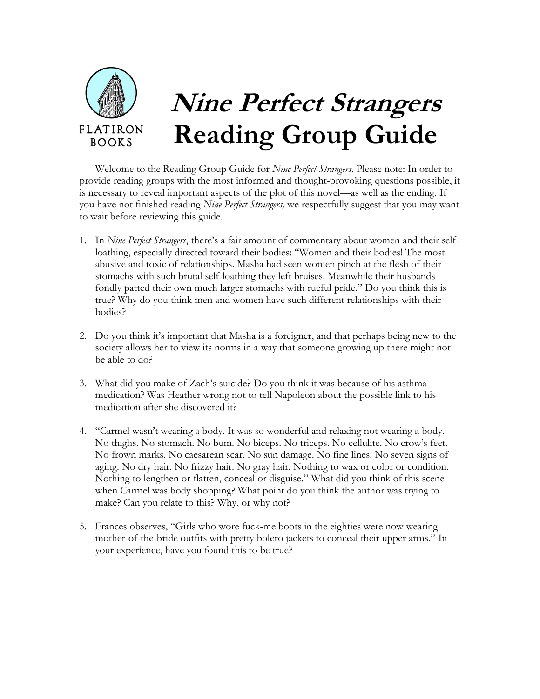

Welcome to the Reading Group Guide for *Nine Perfect Strangers*. Please note: In order to provide reading groups with the most informed and thought-provoking questions possible, it is necessary to reveal important aspects of the plot of this novel—as well as the ending. If you have not finished reading *Nine Perfect Strangers,* we respectfully suggest that you may want to wait before reviewing this guide.

- 1. In *Nine Perfect Strangers*, there's a fair amount of commentary about women and their selfloathing, especially directed toward their bodies: "Women and their bodies! The most abusive and toxic of relationships. Masha had seen women pinch at the flesh of their stomachs with such brutal self-loathing they left bruises. Meanwhile their husbands fondly patted their own much larger stomachs with rueful pride." Do you think this is true? Why do you think men and women have such different relationships with their bodies?
- 2. Do you think it's important that Masha is a foreigner, and that perhaps being new to the society allows her to view its norms in a way that someone growing up there might not be able to do?
- 3. What did you make of Zach's suicide? Do you think it was because of his asthma medication? Was Heather wrong not to tell Napoleon about the possible link to his medication after she discovered it?
- 4. "Carmel wasn't wearing a body. It was so wonderful and relaxing not wearing a body. No thighs. No stomach. No bum. No biceps. No triceps. No cellulite. No crow's feet. No frown marks. No caesarean scar. No sun damage. No fine lines. No seven signs of aging. No dry hair. No frizzy hair. No gray hair. Nothing to wax or color or condition. Nothing to lengthen or flatten, conceal or disguise." What did you think of this scene when Carmel was body shopping? What point do you think the author was trying to make? Can you relate to this? Why, or why not?
- 5. Frances observes, "Girls who wore fuck-me boots in the eighties were now wearing mother-of-the-bride outfits with pretty bolero jackets to conceal their upper arms." In your experience, have you found this to be true?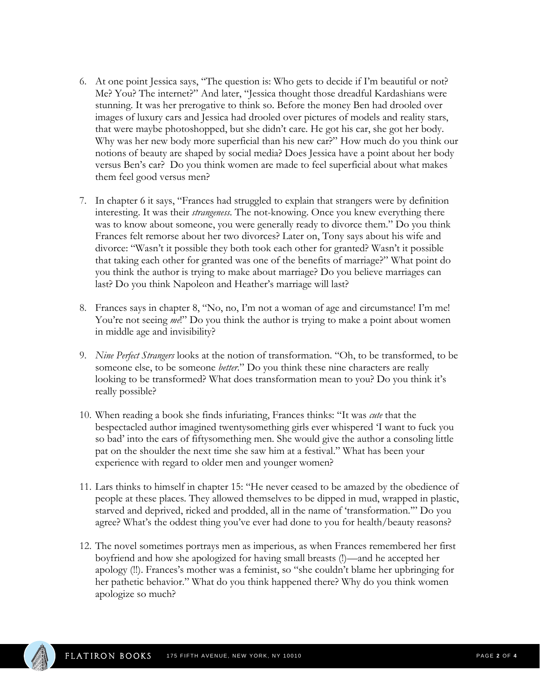- 6. At one point Jessica says, "The question is: Who gets to decide if I'm beautiful or not? Me? You? The internet?" And later, "Jessica thought those dreadful Kardashians were stunning. It was her prerogative to think so. Before the money Ben had drooled over images of luxury cars and Jessica had drooled over pictures of models and reality stars, that were maybe photoshopped, but she didn't care. He got his car, she got her body. Why was her new body more superficial than his new car?" How much do you think our notions of beauty are shaped by social media? Does Jessica have a point about her body versus Ben's car? Do you think women are made to feel superficial about what makes them feel good versus men?
- 7. In chapter 6 it says, "Frances had struggled to explain that strangers were by definition interesting. It was their *strangeness*. The not-knowing. Once you knew everything there was to know about someone, you were generally ready to divorce them." Do you think Frances felt remorse about her two divorces? Later on, Tony says about his wife and divorce: "Wasn't it possible they both took each other for granted? Wasn't it possible that taking each other for granted was one of the benefits of marriage?" What point do you think the author is trying to make about marriage? Do you believe marriages can last? Do you think Napoleon and Heather's marriage will last?
- 8. Frances says in chapter 8, "No, no, I'm not a woman of age and circumstance! I'm me! You're not seeing *me*!" Do you think the author is trying to make a point about women in middle age and invisibility?
- 9. *Nine Perfect Strangers* looks at the notion of transformation. "Oh, to be transformed, to be someone else, to be someone *better*." Do you think these nine characters are really looking to be transformed? What does transformation mean to you? Do you think it's really possible?
- 10. When reading a book she finds infuriating, Frances thinks: "It was *cute* that the bespectacled author imagined twentysomething girls ever whispered 'I want to fuck you so bad' into the ears of fiftysomething men. She would give the author a consoling little pat on the shoulder the next time she saw him at a festival." What has been your experience with regard to older men and younger women?
- 11. Lars thinks to himself in chapter 15: "He never ceased to be amazed by the obedience of people at these places. They allowed themselves to be dipped in mud, wrapped in plastic, starved and deprived, ricked and prodded, all in the name of 'transformation.'" Do you agree? What's the oddest thing you've ever had done to you for health/beauty reasons?
- 12. The novel sometimes portrays men as imperious, as when Frances remembered her first boyfriend and how she apologized for having small breasts (!)—and he accepted her apology (!!). Frances's mother was a feminist, so "she couldn't blame her upbringing for her pathetic behavior." What do you think happened there? Why do you think women apologize so much?

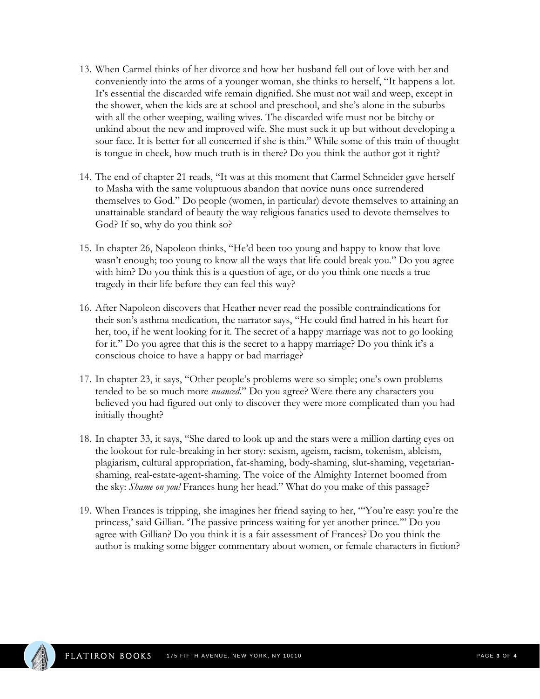- 13. When Carmel thinks of her divorce and how her husband fell out of love with her and conveniently into the arms of a younger woman, she thinks to herself, "It happens a lot. It's essential the discarded wife remain dignified. She must not wail and weep, except in the shower, when the kids are at school and preschool, and she's alone in the suburbs with all the other weeping, wailing wives. The discarded wife must not be bitchy or unkind about the new and improved wife. She must suck it up but without developing a sour face. It is better for all concerned if she is thin." While some of this train of thought is tongue in cheek, how much truth is in there? Do you think the author got it right?
- 14. The end of chapter 21 reads, "It was at this moment that Carmel Schneider gave herself to Masha with the same voluptuous abandon that novice nuns once surrendered themselves to God." Do people (women, in particular) devote themselves to attaining an unattainable standard of beauty the way religious fanatics used to devote themselves to God? If so, why do you think so?
- 15. In chapter 26, Napoleon thinks, "He'd been too young and happy to know that love wasn't enough; too young to know all the ways that life could break you." Do you agree with him? Do you think this is a question of age, or do you think one needs a true tragedy in their life before they can feel this way?
- 16. After Napoleon discovers that Heather never read the possible contraindications for their son's asthma medication, the narrator says, "He could find hatred in his heart for her, too, if he went looking for it. The secret of a happy marriage was not to go looking for it." Do you agree that this is the secret to a happy marriage? Do you think it's a conscious choice to have a happy or bad marriage?
- 17. In chapter 23, it says, "Other people's problems were so simple; one's own problems tended to be so much more *nuanced*." Do you agree? Were there any characters you believed you had figured out only to discover they were more complicated than you had initially thought?
- 18. In chapter 33, it says, "She dared to look up and the stars were a million darting eyes on the lookout for rule-breaking in her story: sexism, ageism, racism, tokenism, ableism, plagiarism, cultural appropriation, fat-shaming, body-shaming, slut-shaming, vegetarianshaming, real-estate-agent-shaming. The voice of the Almighty Internet boomed from the sky: *Shame on you!* Frances hung her head." What do you make of this passage?
- 19. When Frances is tripping, she imagines her friend saying to her, "'You're easy: you're the princess,' said Gillian. 'The passive princess waiting for yet another prince.'" Do you agree with Gillian? Do you think it is a fair assessment of Frances? Do you think the author is making some bigger commentary about women, or female characters in fiction?